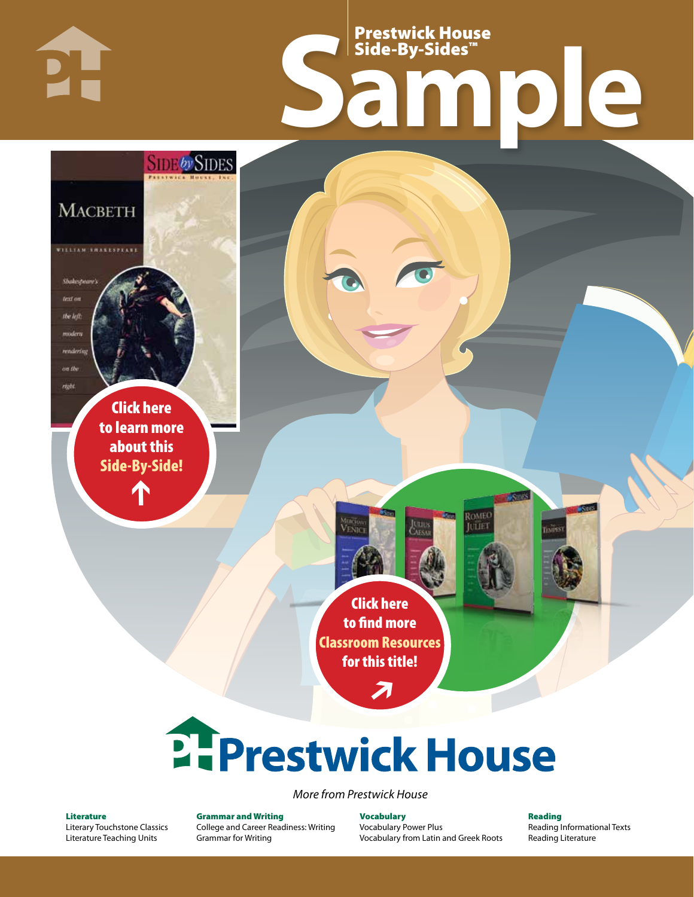Prestwick House Side-By-Sides™

# **Sample**

Click here [to learn more](https://www.prestwickhouse.com/book/id-202390/Macbeth_-_Side_by_Side?utm_source=samplepdf&utm_medium=sample&utm_content=sbs&utm_campaign=sample)  about this Side-By-Side!

**MACBETH** 

WILLIAM SHAKESPEAK

Shakespeare! text on the left. modern renderio on the regis

1

**SIDE by SIDES** 

Click here to find more [Classroom Resources](https://www.prestwickhouse.com/side-by-sides?utm_source=samplepdf&utm_medium=sample&utm_content=sbs&utm_campaign=sample)  for this title!

**VENI** 

7



*More from Prestwick House*

#### Literature

[Literary Touchstone Classics](https://www.prestwickhouse.com/literary-touchstone-classics) [Literature Teaching Units](https://www.prestwickhouse.com/teaching-units)

Grammar and Writing [College and Career Readiness: Writing](https://www.prestwickhouse.com/college-and-career-readiness-writing) [Grammar for Writing](https://www.prestwickhouse.com/book/id-302639/Grammar_for_Writing_-_30_Books_and_Teachers_Edition)

Vocabulary [Vocabulary Power Plus](https://www.prestwickhouse.com/vocabulary-power-plus-for-college-and-career-readiness) [Vocabulary from Latin and Greek Roots](https://www.prestwickhouse.com/vocabulary-from-latin-and-greek-roots) Reading [Reading Informational Texts](https://www.prestwickhouse.com/reading-informational-texts) [Reading Literature](https://www.prestwickhouse.com/reading-literature)

**Conta** 

ROMEC **LITTET**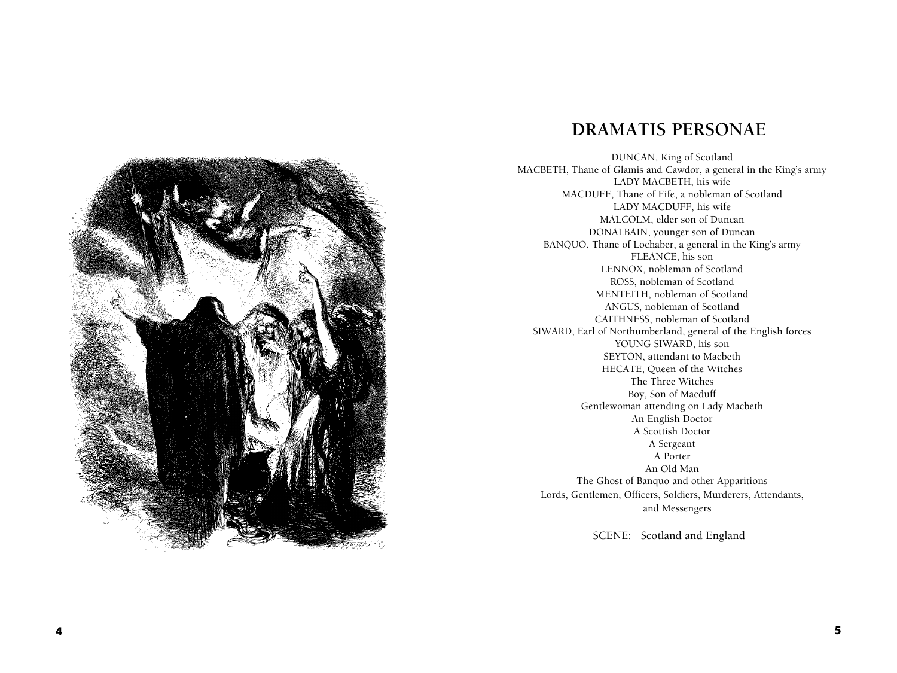

# **DRA MATIS PERSONAE**

DUNCAN, King of ScotlandMACBETH, Thane of Glamis and Cawdor, a general in the King's armyLADY MACBETH, his wifeMACDUFF, Thane of Fife, a nobleman of ScotlandLADY MACDUFF, his wifeMALCOLM, elder son of DuncanDONALBAIN, younger son of DuncanBANQUO, Thane of Lochaber, a general in the King's armyFLEANCE, his sonLENNOX, nobleman of ScotlandROSS, nobleman of ScotlandMENTEITH, nobleman of ScotlandANGUS, nobleman of ScotlandCAITHNESS, nobleman of ScotlandSIWARD, Earl of Northumberland, general of the English forcesYOUNG SIWARD, his sonSEYTON, attendant to MacbethHECATE, Queen of the WitchesThe Three WitchesBoy, Son of MacduffGentlewoman attending on Lady MacbethAn English DoctorA Scottish DoctorA SergeantA PorterAn Old ManThe Ghost of Banquo and other ApparitionsLords, Gentlemen, Officers, Soldiers, Murderers, Attendants,and Messengers

SCENE: Scotland and England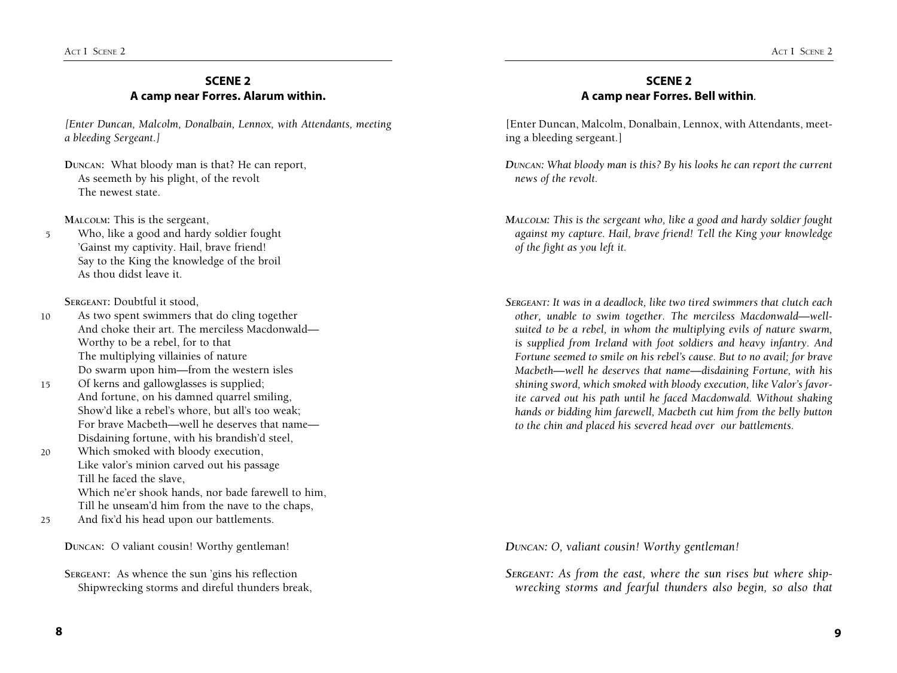# **SCENE 2 A camp near Forres. Alarum within.**

*[Enter Duncan, Malcolm, Donalbain, Lennox, with Attendants, meeting a bleeding Sergeant.]*

**Duncan:** What bloody man is that? He can report,As seemeth by his plight, of the revoltThe newest state.

**Malcolm:** This is the sergeant,

5 Who, like a good and hardy soldier fought'Gainst my captivity. Hail, brave friend!Say to the King the knowledge of the broilAs thou didst leave it.

**Sergeant:** Doubtful it stood,

10 As two spent swimmers that do cling togetherAnd choke their art. The merciless Macdonwald—Worthy to be a rebel, for to thatThe multiplying villainies of natureDo swarm upon him—from the western isles

- 15 Of kerns and gallowglasses is supplied;And fortune, on his damned quarrel smiling,Show'd like a rebel's whore, but all's too weak; For brave Macbeth—well he deserves that name— Disdaining fortune, with his brandish'd steel,
- 20 Which smoked with bloody execution,Like valor's minion carved out his passageTill he faced the slave,Which ne'er shook hands, nor bade farewell to him,Till he unseam'd him from the nave to the chaps,
- 25 And fix'd his head upon our battlements.

**Duncan:** O valiant cousin! Worthy gentleman!

**Sergeant:** As whence the sun 'gins his reflectionShipwrecking storms and direful thunders break,

# **SCENE 2 A camp near Forres. Bell within***.*

[Enter Duncan, Malcolm, Donalbain, Lennox, with Attendants, meeting a bleeding sergeant.]

*Duncan: What bloody man is this? By his looks he can report the current news of the revolt.* 

*Malcolm: This is the sergeant who, like a good and hardy soldier fought against my capture. Hail, brave friend! Tell the King your knowledge of the fight as you left it.* 

*Sergeant: It was in a deadlock, like two tired swimmers that clutch each other, unable to swim together. The merciless Macdonwald—wellsuited to be a rebel, in whom the multiplying evils of nature swarm, is supplied from Ireland with foot soldiers and heavy infantry. And Fortune seemed to smile on his rebel's cause. But to no avail; for brave Macbeth—well he deserves that name—disdaining Fortune, with his shining sword, which smoked with bloody execution, like Valor's favorite carved out his path until he faced Macdonwald. Without shaking hands or bidding him farewell, Macbeth cut him from the belly button to the chin and placed his severed head over our battlements.* 

*Duncan: O, valiant cousin! Worthy gentleman!* 

*Sergeant: As from the east, where the sun rises but where shipwrecking storms and fearful thunders also begin, so also that*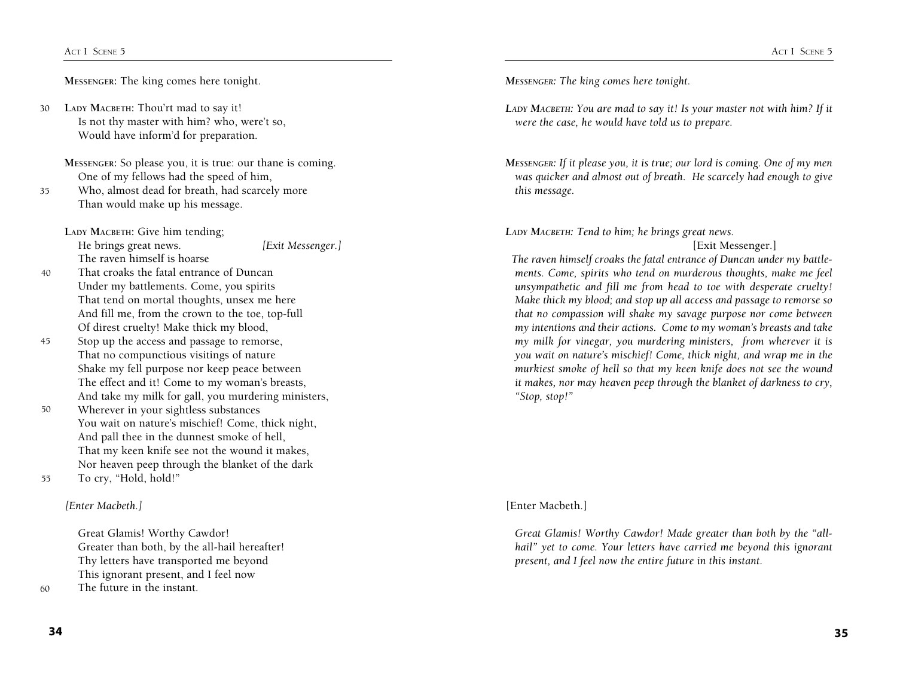**Messenger:** The king comes here tonight.

LADY MACBETH: Thou'rt mad to say it! Is not thy master with him? who, were't so,Would have inform'd for preparation. 30

**Messenger:** So please you, it is true: our thane is coming.One of my fellows had the speed of him,

Who, almost dead for breath, had scarcely moreThan would make up his message. 35

LADY MACBETH: Give him tending; He brings great news.*[Exit Messenger.]*  The raven himself is hoarse

- 40 That croaks the fatal entrance of DuncanUnder my battlements. Come, you spiritsThat tend on mortal thoughts, unsex me hereAnd fill me, from the crown to the toe, top-fullOf direst cruelty! Make thick my blood,
- 45 Stop up the access and passage to remorse,That no compunctious visitings of natureShake my fell purpose nor keep peace betweenThe effect and it! Come to my woman's breasts,And take my milk for gall, you murdering ministers,
- 50 Wherever in your sightless substancesYou wait on nature's mischief! Come, thick night,And pall thee in the dunnest smoke of hell,That my keen knife see not the wound it makes,Nor heaven peep through the blanket of the dark
- 55 To cry, "Hold, hold!"

*[Enter Macbeth.]* 

Great Glamis! Worthy Cawdor!Greater than both, by the all-hail hereafter!Thy letters have transported me beyondThis ignorant present, and I feel now

The future in the instant. 60

*Messenger: The king comes here tonight.* 

- *Lady Macbeth: You are mad to say it! Is your master not with him? If it were the case, he would have told us to prepare.*
- *Messenger: If it please you, it is true; our lord is coming. One of my men was quicker and almost out of breath. He scarcely had enough to give this message.*

*Lady Macbeth: Tend to him; he brings great news.* 

# [Exit Messenger.]

 *The raven himself croaks the fatal entrance of Duncan under my battlements. Come, spirits who tend on murderous thoughts, make me feel unsympathetic and fill me from head to toe with desperate cruelty! Make thick my blood; and stop up all access and passage to remorse so that no compassion will shake my savage purpose nor come between my intentions and their actions. Come to my woman's breasts and take my milk for vinegar, you murdering ministers, from wherever it is you wait on nature's mischief! Come, thick night, and wrap me in the murkiest smoke of hell so that my keen knife does not see the wound it makes, nor may heaven peep through the blanket of darkness to cry, "Stop, stop!"* 

[Enter Macbeth.]

 *Great Glamis! Worthy Cawdor! Made greater than both by the "allhail" yet to come. Your letters have carried me beyond this ignorant present, and I feel now the entire future in this instant.*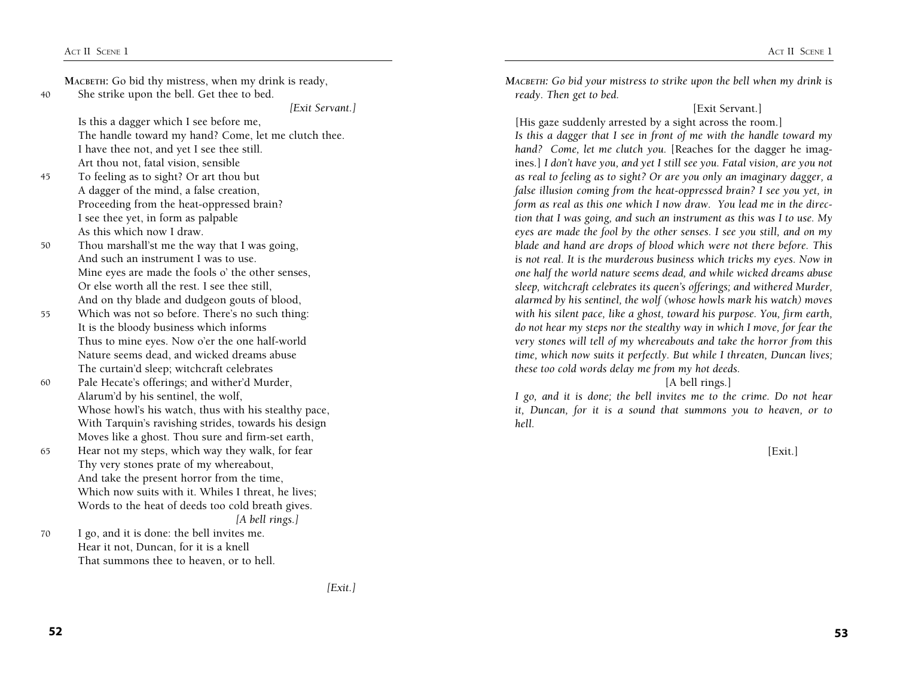|        | MACBETH: Go bid thy mistress, when my drink is ready, | MACBETH: Go bid your mistress to strike upon the bell when my drink is      |  |
|--------|-------------------------------------------------------|-----------------------------------------------------------------------------|--|
| 40     | She strike upon the bell. Get thee to bed.            | ready. Then get to bed.                                                     |  |
|        | [Exit Servant.]                                       | [Exit Servant.]                                                             |  |
|        | Is this a dagger which I see before me,               | [His gaze suddenly arrested by a sight across the room.]                    |  |
|        | The handle toward my hand? Come, let me clutch thee.  | Is this a dagger that I see in front of me with the handle toward my        |  |
|        | I have thee not, and yet I see thee still.            | hand? Come, let me clutch you. [Reaches for the dagger he imag-             |  |
|        | Art thou not, fatal vision, sensible                  | ines.] I don't have you, and yet I still see you. Fatal vision, are you not |  |
| 45     | To feeling as to sight? Or art thou but               | as real to feeling as to sight? Or are you only an imaginary dagger, a      |  |
|        | A dagger of the mind, a false creation,               | false illusion coming from the heat-oppressed brain? I see you yet, in      |  |
|        | Proceeding from the heat-oppressed brain?             | form as real as this one which I now draw. You lead me in the direc-        |  |
|        | I see thee yet, in form as palpable                   | tion that I was going, and such an instrument as this was I to use. My      |  |
|        | As this which now I draw.                             | eyes are made the fool by the other senses. I see you still, and on my      |  |
| 50     | Thou marshall'st me the way that I was going,         | blade and hand are drops of blood which were not there before. This         |  |
|        | And such an instrument I was to use.                  | is not real. It is the murderous business which tricks my eyes. Now in      |  |
|        | Mine eyes are made the fools o' the other senses,     | one half the world nature seems dead, and while wicked dreams abuse         |  |
|        | Or else worth all the rest. I see thee still,         | sleep, witchcraft celebrates its queen's offerings; and withered Murder,    |  |
|        | And on thy blade and dudgeon gouts of blood,          | alarmed by his sentinel, the wolf (whose howls mark his watch) moves        |  |
| 55     | Which was not so before. There's no such thing:       | with his silent pace, like a ghost, toward his purpose. You, firm earth,    |  |
|        | It is the bloody business which informs               | do not hear my steps nor the stealthy way in which I move, for fear the     |  |
|        | Thus to mine eyes. Now o'er the one half-world        | very stones will tell of my whereabouts and take the horror from this       |  |
|        | Nature seems dead, and wicked dreams abuse            | time, which now suits it perfectly. But while I threaten, Duncan lives;     |  |
|        | The curtain'd sleep; witchcraft celebrates            | these too cold words delay me from my hot deeds.                            |  |
| 60     | Pale Hecate's offerings; and wither'd Murder,         | [A bell rings.]                                                             |  |
|        | Alarum'd by his sentinel, the wolf,                   | I go, and it is done; the bell invites me to the crime. Do not hear         |  |
|        | Whose howl's his watch, thus with his stealthy pace,  | it, Duncan, for it is a sound that summons you to heaven, or to             |  |
|        | With Tarquin's ravishing strides, towards his design  | hell.                                                                       |  |
|        | Moves like a ghost. Thou sure and firm-set earth,     |                                                                             |  |
| 65     | Hear not my steps, which way they walk, for fear      | [Exit.]                                                                     |  |
|        | Thy very stones prate of my whereabout,               |                                                                             |  |
|        | And take the present horror from the time,            |                                                                             |  |
|        | Which now suits with it. Whiles I threat, he lives;   |                                                                             |  |
|        | Words to the heat of deeds too cold breath gives.     |                                                                             |  |
|        | [A bell rings.]                                       |                                                                             |  |
| $70\,$ | I go, and it is done: the bell invites me.            |                                                                             |  |
|        | Hear it not, Duncan, for it is a knell                |                                                                             |  |
|        | That summons thee to heaven, or to hell.              |                                                                             |  |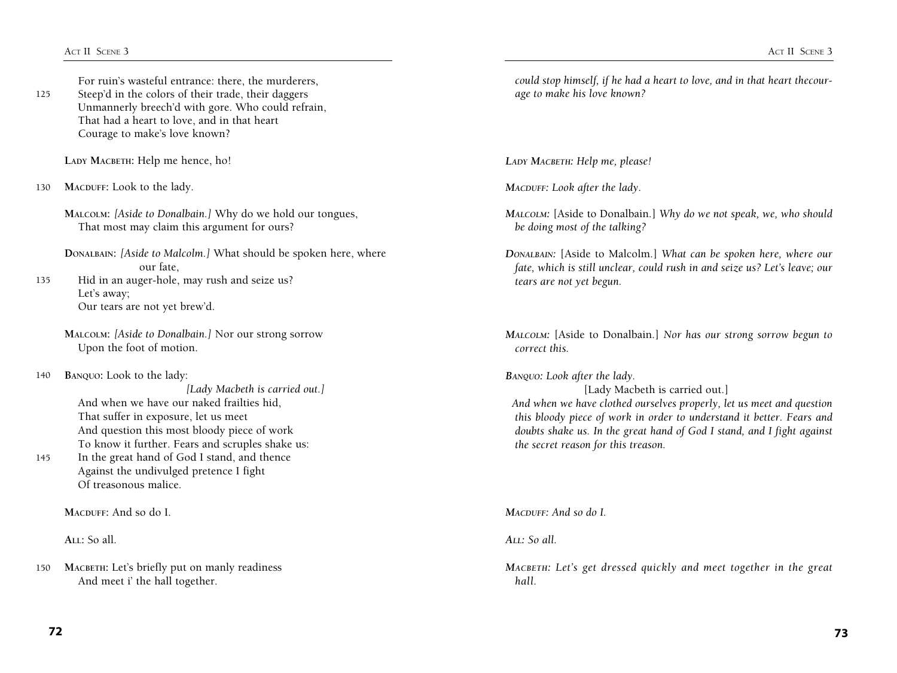125 For ruin's wasteful entrance: there, the murderers,Steep'd in the colors of their trade, their daggersUnmannerly breech'd with gore. Who could refrain,That had a heart to love, and in that heartCourage to make's love known?

**Lady Macbeth:** Help me hence, ho!

130 MACDUFF: Look to the lady.

> **Malcolm:** *[Aside to Donalbain.]* Why do we hold our tongues,That most may claim this argument for ours?

**Donalbain:** *[Aside to Malcolm.]* What should be spoken here, where our fate, Hid in an auger-hole, may rush and seize us?

135 Let's away;Our tears are not yet brew'd.

> **Malcolm:** *[Aside to Donalbain.]* Nor our strong sorrowUpon the foot of motion.

140 **Banquo:** Look to the lady:

> *[Lady Macbeth is carried out.]*  And when we have our naked frailties hid,That suffer in exposure, let us meetAnd question this most bloody piece of workTo know it further. Fears and scruples shake us:

145 In the great hand of God I stand, and thenceAgainst the undivulged pretence I fightOf treasonous malice.

**Macduff:** And so do I.

**All:** So all.

*could stop himself, if he had a heart to love, and in that heart thecourage to make his love known?* 

*Lady Macbeth: Help me, please!* 

*Macduff: Look after the lady.* 

- *Malcolm:* [Aside to Donalbain.] *Why do we not speak, we, who should be doing most of the talking?*
- *Donalbain:* [Aside to Malcolm.] *What can be spoken here, where our fate, which is still unclear, could rush in and seize us? Let's leave; our tears are not yet begun.*

*Malcolm:* [Aside to Donalbain.] *Nor has our strong sorrow begun to correct this.* 

*Banquo: Look after the lady.* 

[Lady Macbeth is carried out.]  *And when we have clothed ourselves properly, let us meet and question this bloody piece of work in order to understand it better. Fears and doubts shake us. In the great hand of God I stand, and I fight against the secret reason for this treason.*

*Macduff: And so do I.* 

*All: So all.* 

*Macbeth: Let's get dressed quickly and meet together in the great hall.*

<sup>150</sup> **Macbeth:** Let's briefly put on manly readinessAnd meet i' the hall together.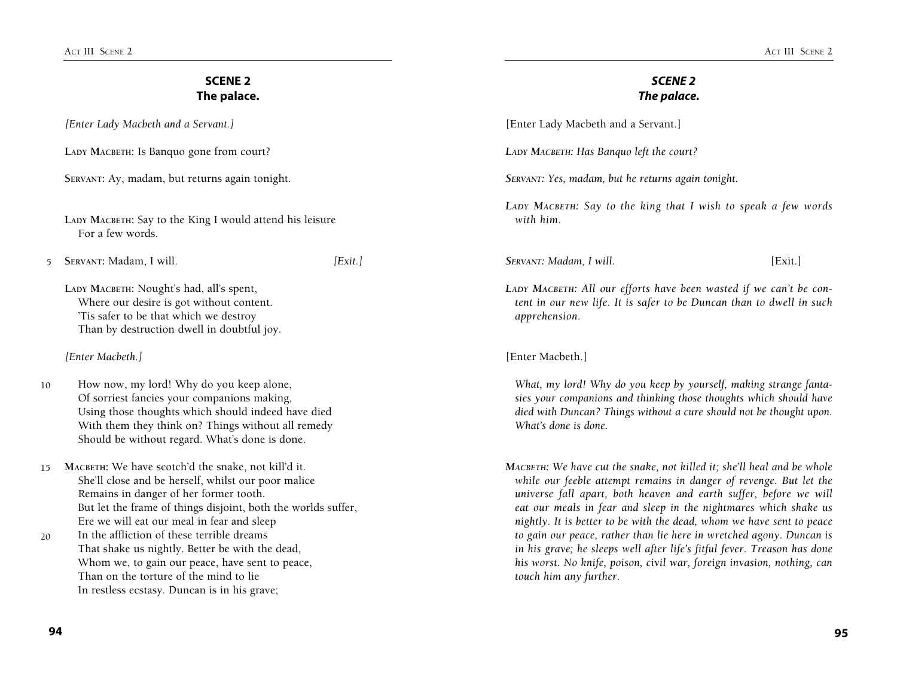| <b>SCENE 2</b><br>The palace. |                                                                                                                                                                                                                                                                                                                                                                                                                                                                                                                   | <b>SCENE 2</b><br>The palace. |                                                                                                                                                                                                                                                                                                                                                                                                                                                                                                                                                                                                                         |         |  |
|-------------------------------|-------------------------------------------------------------------------------------------------------------------------------------------------------------------------------------------------------------------------------------------------------------------------------------------------------------------------------------------------------------------------------------------------------------------------------------------------------------------------------------------------------------------|-------------------------------|-------------------------------------------------------------------------------------------------------------------------------------------------------------------------------------------------------------------------------------------------------------------------------------------------------------------------------------------------------------------------------------------------------------------------------------------------------------------------------------------------------------------------------------------------------------------------------------------------------------------------|---------|--|
|                               | [Enter Lady Macbeth and a Servant.]                                                                                                                                                                                                                                                                                                                                                                                                                                                                               |                               | [Enter Lady Macbeth and a Servant.]                                                                                                                                                                                                                                                                                                                                                                                                                                                                                                                                                                                     |         |  |
|                               | LADY MACBETH: Is Banquo gone from court?                                                                                                                                                                                                                                                                                                                                                                                                                                                                          |                               | LADY MACBETH: Has Banquo left the court?                                                                                                                                                                                                                                                                                                                                                                                                                                                                                                                                                                                |         |  |
|                               | SERVANT: Ay, madam, but returns again tonight.                                                                                                                                                                                                                                                                                                                                                                                                                                                                    |                               | SERVANT: Yes, madam, but he returns again tonight.                                                                                                                                                                                                                                                                                                                                                                                                                                                                                                                                                                      |         |  |
|                               | LADY MACBETH: Say to the King I would attend his leisure<br>For a few words.                                                                                                                                                                                                                                                                                                                                                                                                                                      |                               | LADY MACBETH: Say to the king that I wish to speak a few words<br>with him.                                                                                                                                                                                                                                                                                                                                                                                                                                                                                                                                             |         |  |
| $5^{\circ}$                   | SERVANT: Madam, I will.                                                                                                                                                                                                                                                                                                                                                                                                                                                                                           | [Exit.]                       | SERVANT: Madam, I will.                                                                                                                                                                                                                                                                                                                                                                                                                                                                                                                                                                                                 | [Exit.] |  |
|                               | LADY MACBETH: Nought's had, all's spent,<br>Where our desire is got without content.<br>'Tis safer to be that which we destroy<br>Than by destruction dwell in doubtful joy.                                                                                                                                                                                                                                                                                                                                      |                               | LADY MACBETH: All our efforts have been wasted if we can't be con-<br>tent in our new life. It is safer to be Duncan than to dwell in such<br>apprehension.                                                                                                                                                                                                                                                                                                                                                                                                                                                             |         |  |
|                               | [Enter Macbeth.]                                                                                                                                                                                                                                                                                                                                                                                                                                                                                                  |                               | [Enter Macbeth.]                                                                                                                                                                                                                                                                                                                                                                                                                                                                                                                                                                                                        |         |  |
| 10                            | How now, my lord! Why do you keep alone,<br>Of sorriest fancies your companions making,<br>Using those thoughts which should indeed have died<br>With them they think on? Things without all remedy<br>Should be without regard. What's done is done.                                                                                                                                                                                                                                                             |                               | What, my lord! Why do you keep by yourself, making strange fanta-<br>sies your companions and thinking those thoughts which should have<br>died with Duncan? Things without a cure should not be thought upon.<br>What's done is done.                                                                                                                                                                                                                                                                                                                                                                                  |         |  |
| 15                            | MACBETH: We have scotch'd the snake, not kill'd it.<br>She'll close and be herself, whilst our poor malice<br>Remains in danger of her former tooth.<br>But let the frame of things disjoint, both the worlds suffer,<br>Ere we will eat our meal in fear and sleep<br>In the affliction of these terrible dreams<br>That shake us nightly. Better be with the dead,<br>Whom we, to gain our peace, have sent to peace,<br>Than on the torture of the mind to lie<br>In restless ecstasy. Duncan is in his grave; |                               | MACBETH: We have cut the snake, not killed it; she'll heal and be whole<br>while our feeble attempt remains in danger of revenge. But let the<br>universe fall apart, both heaven and earth suffer, before we will<br>eat our meals in fear and sleep in the nightmares which shake us<br>nightly. It is better to be with the dead, whom we have sent to peace<br>to gain our peace, rather than lie here in wretched agony. Duncan is<br>in his grave; he sleeps well after life's fitful fever. Treason has done<br>his worst. No knife, poison, civil war, foreign invasion, nothing, can<br>touch him any further. |         |  |
| 20                            |                                                                                                                                                                                                                                                                                                                                                                                                                                                                                                                   |                               |                                                                                                                                                                                                                                                                                                                                                                                                                                                                                                                                                                                                                         |         |  |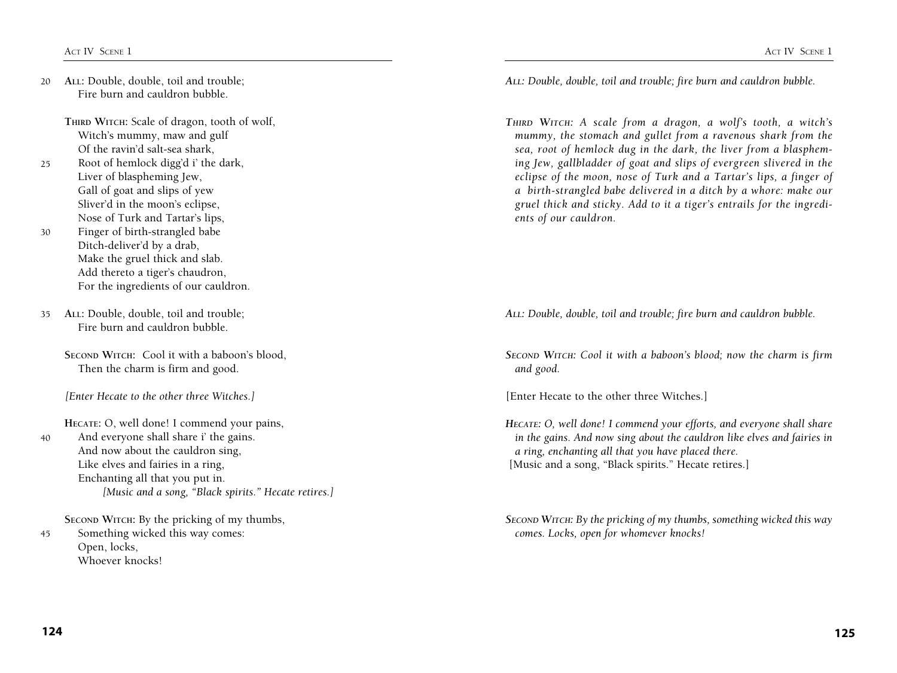20 **All:** Double, double, toil and trouble;Fire burn and cauldron bubble.

> THIRD WITCH: Scale of dragon, tooth of wolf, Witch's mummy, maw and gulfOf the ravin'd salt-sea shark,

- $25$ Root of hemlock digg'd i' the dark,Liver of blaspheming Jew,Gall of goat and slips of yewSliver'd in the moon's eclipse,Nose of Turk and Tartar's lips,
- 30 Finger of birth-strangled babeDitch-deliver'd by a drab,Make the gruel thick and slab.Add thereto a tiger's chaudron,For the ingredients of our cauldron.
- 35 **All:** Double, double, toil and trouble;Fire burn and cauldron bubble.
	- **Second Witch:** Cool it with a baboon's blood,Then the charm is firm and good.

*[Enter Hecate to the other three Witches.]* 

40 **Hecate:** O, well done! I commend your pains,And everyone shall share i' the gains.And now about the cauldron sing,Like elves and fairies in a ring,Enchanting all that you put in.  *[Music and a song, "Black spirits." Hecate retires.]* 

45 **Second Witch:** By the pricking of my thumbs,Something wicked this way comes:Open, locks,Whoever knocks!

*All: Double, double, toil and trouble; fire burn and cauldron bubble.* 

*Third Witch: A scale from a dragon, a wolf's tooth, a witch's mummy, the stomach and gullet from a ravenous shark from the sea, root of hemlock dug in the dark, the liver from a blaspheming Jew, gallbladder of goat and slips of evergreen slivered in the eclipse of the moon, nose of Turk and a Tartar's lips, a finger of a birth-strangled babe delivered in a ditch by a whore: make our gruel thick and sticky. Add to it a tiger's entrails for the ingredients of our cauldron.*

*All: Double, double, toil and trouble; fire burn and cauldron bubble.* 

*Second Witch: Cool it with a baboon's blood; now the charm is firm and good.* 

[Enter Hecate to the other three Witches.]

*Hecate: O, well done! I commend your efforts, and everyone shall share in the gains. And now sing about the cauldron like elves and fairies in a ring, enchanting all that you have placed there.*  [Music and a song, "Black spirits." Hecate retires.]

*Second Witch: By the pricking of my thumbs, something wicked this way comes. Locks, open for whomever knocks!*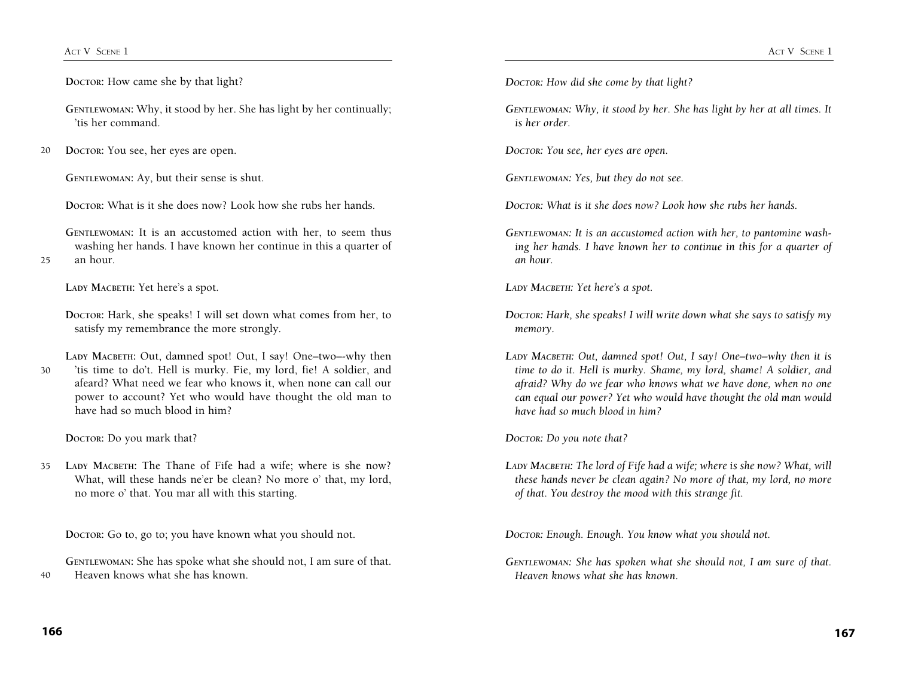**Doctor:** How came she by that light?

GENTLEWOMAN: Why, it stood by her. She has light by her continually; 'tis her command.

20 **Doctor:** You see, her eyes are open.

GENTLEWOMAN: Ay, but their sense is shut.

**Doctor:** What is it she does now? Look how she rubs her hands.

GENTLEWOMAN: It is an accustomed action with her, to seem thus washing her hands. I have known her continue in this a quarter of an hour.

**Lady Macbeth:** Yet here's a spot.

**Doctor:** Hark, she speaks! I will set down what comes from her, to satisfy my remembrance the more strongly.

30 LADY MACBETH: Out, damned spot! Out, I say! One-two--why then 'tis time to do't. Hell is murky. Fie, my lord, fie! A soldier, and afeard? What need we fear who knows it, when none can call our power to account? Yet who would have thought the old man to have had so much blood in him?

**Doctor:** Do you mark that?

35 LADY MACBETH: The Thane of Fife had a wife; where is she now? What, will these hands ne'er be clean? No more o' that, my lord, no more o' that. You mar all with this starting.

**Doctor:** Go to, go to; you have known what you should not.

**Gentlewoman:** She has spoke what she should not, I am sure of that. Heaven knows what she has known.

*Doctor: How did she come by that light?* 

*Gentlewoman: Why, it stood by her. She has light by her at all times. It is her order.*

*Doctor: You see, her eyes are open.* 

*Gentlewoman: Yes, but they do not see.* 

*Doctor: What is it she does now? Look how she rubs her hands.* 

*Gentlewoman: It is an accustomed action with her, to pantomine washing her hands. I have known her to continue in this for a quarter of an hour.* 

*Lady Macbeth: Yet here's a spot.* 

- *Doctor: Hark, she speaks! I will write down what she says to satisfy my memory.*
- *Lady Macbeth: Out, damned spot! Out, I say! One–two–why then it is time to do it. Hell is murky. Shame, my lord, shame! A soldier, and afraid? Why do we fear who knows what we have done, when no one can equal our power? Yet who would have thought the old man would have had so much blood in him?*

*Doctor: Do you note that?* 

*Lady Macbeth: The lord of Fife had a wife; where is she now? What, will these hands never be clean again? No more of that, my lord, no more of that. You destroy the mood with this strange fit.*

*Doctor: Enough. Enough. You know what you should not.*

*Gentlewoman: She has spoken what she should not, I am sure of that. Heaven knows what she has known.* 

 $40$ 

 $25$